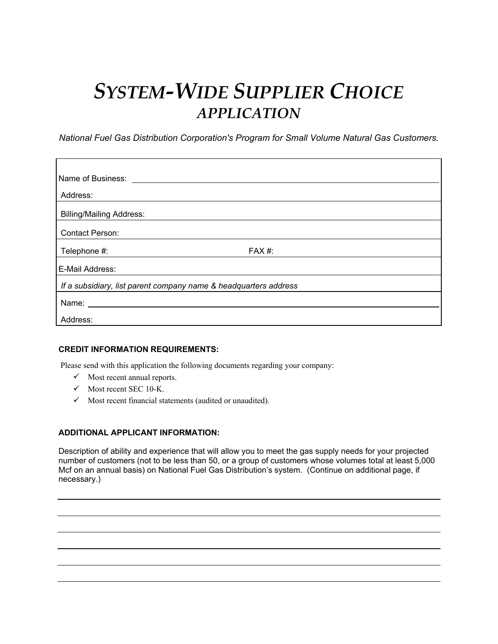## *SYSTEM-WIDE SUPPLIER CHOICE APPLICATION*

*National Fuel Gas Distribution Corporation's Program for Small Volume Natural Gas Customers.*

| Name of Business:                                                |       |  |  |  |
|------------------------------------------------------------------|-------|--|--|--|
| Address:                                                         |       |  |  |  |
| <b>Billing/Mailing Address:</b>                                  |       |  |  |  |
| <b>Contact Person:</b>                                           |       |  |  |  |
| Telephone #:                                                     | FAX#: |  |  |  |
| E-Mail Address:                                                  |       |  |  |  |
| If a subsidiary, list parent company name & headquarters address |       |  |  |  |
| Name:                                                            |       |  |  |  |
| Address:                                                         |       |  |  |  |

## **CREDIT INFORMATION REQUIREMENTS:**

Please send with this application the following documents regarding your company:

- $\checkmark$  Most recent annual reports.
- $\checkmark$  Most recent SEC 10-K.
- $\checkmark$  Most recent financial statements (audited or unaudited).

## **ADDITIONAL APPLICANT INFORMATION:**

Description of ability and experience that will allow you to meet the gas supply needs for your projected number of customers (not to be less than 50, or a group of customers whose volumes total at least 5,000 Mcf on an annual basis) on National Fuel Gas Distribution's system. (Continue on additional page, if necessary.)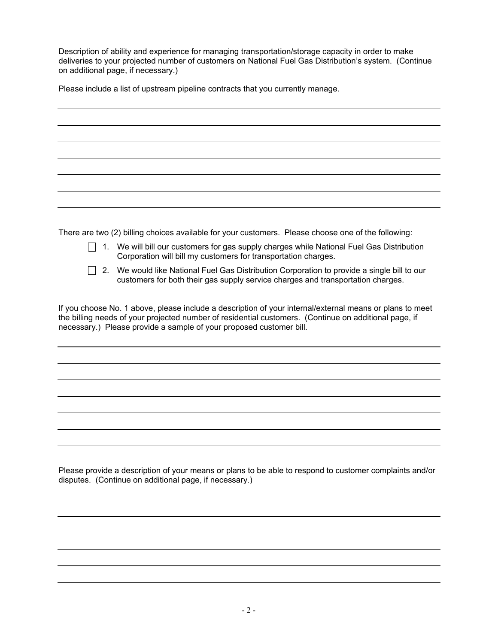Description of ability and experience for managing transportation/storage capacity in order to make deliveries to your projected number of customers on National Fuel Gas Distribution's system. (Continue on additional page, if necessary.)

Please include a list of upstream pipeline contracts that you currently manage.

There are two (2) billing choices available for your customers. Please choose one of the following:

- $\Box$  1. We will bill our customers for gas supply charges while National Fuel Gas Distribution Corporation will bill my customers for transportation charges.
- $\Box$  2. We would like National Fuel Gas Distribution Corporation to provide a single bill to our customers for both their gas supply service charges and transportation charges.

If you choose No. 1 above, please include a description of your internal/external means or plans to meet the billing needs of your projected number of residential customers. (Continue on additional page, if necessary.) Please provide a sample of your proposed customer bill.

Please provide a description of your means or plans to be able to respond to customer complaints and/or disputes. (Continue on additional page, if necessary.)